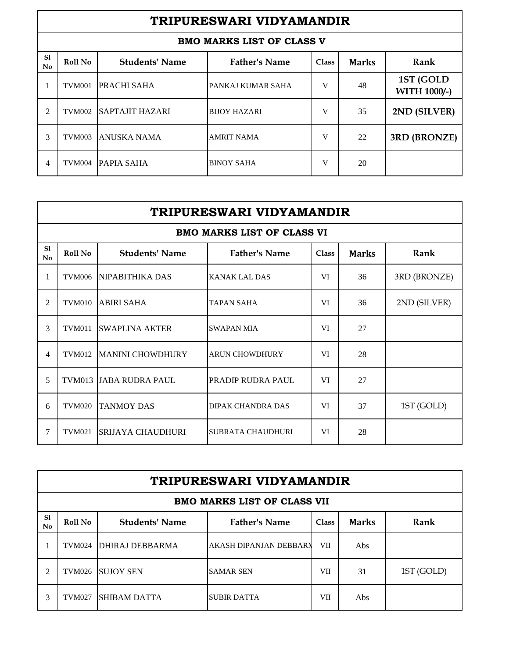|                      | TRIPURESWARI VIDYAMANDIR |                        |                                  |              |              |                                  |  |  |
|----------------------|--------------------------|------------------------|----------------------------------|--------------|--------------|----------------------------------|--|--|
|                      |                          |                        | <b>BMO MARKS LIST OF CLASS V</b> |              |              |                                  |  |  |
| S <sub>1</sub><br>No | Roll No                  | <b>Students' Name</b>  | <b>Father's Name</b>             | <b>Class</b> | <b>Marks</b> | Rank                             |  |  |
|                      | TVM001                   | <b>PRACHI SAHA</b>     | PANKAJ KUMAR SAHA                | V            | 48           | 1ST (GOLD<br><b>WITH 1000/-)</b> |  |  |
| 2                    | <b>TVM002</b>            | <b>SAPTAJIT HAZARI</b> | <b>BUOY HAZARI</b>               | V            | 35           | 2ND (SILVER)                     |  |  |
| 3                    | <b>TVM003</b>            | ANUSKA NAMA            | <b>AMRIT NAMA</b>                | V            | 22           | 3RD (BRONZE)                     |  |  |
| 4                    | TVM004                   | <b>PAPIA SAHA</b>      | <b>BINOY SAHA</b>                | V            | 20           |                                  |  |  |

|                | TRIPURESWARI VIDYAMANDIR |                         |                                   |              |              |              |  |  |
|----------------|--------------------------|-------------------------|-----------------------------------|--------------|--------------|--------------|--|--|
|                |                          |                         | <b>BMO MARKS LIST OF CLASS VI</b> |              |              |              |  |  |
| S1<br>No       | Roll No                  | <b>Students' Name</b>   | <b>Father's Name</b>              | <b>Class</b> | <b>Marks</b> | Rank         |  |  |
| 1              | <b>TVM006</b>            | NIPABITHIKA DAS         | KANAK LAL DAS                     | VI           | 36           | 3RD (BRONZE) |  |  |
| $\overline{c}$ | <b>TVM010</b>            | <b>ABIRI SAHA</b>       | <b>TAPAN SAHA</b>                 | VI           | 36           | 2ND (SILVER) |  |  |
| 3              | <b>TVM011</b>            | <b>SWAPLINA AKTER</b>   | <b>SWAPAN MIA</b>                 | VI           | 27           |              |  |  |
| 4              | <b>TVM012</b>            | <b>MANINI CHOWDHURY</b> | <b>ARUN CHOWDHURY</b>             | VI           | 28           |              |  |  |
| 5              | <b>TVM013</b>            | <b>JABA RUDRA PAUL</b>  | PRADIP RUDRA PAUL                 | VI           | 27           |              |  |  |
| 6              | <b>TVM020</b>            | <b>TANMOY DAS</b>       | DIPAK CHANDRA DAS                 | VI           | 37           | 1ST (GOLD)   |  |  |
| 7              | <b>TVM021</b>            | SRIJAYA CHAUDHURI       | <b>SUBRATA CHAUDHURI</b>          | VI           | 28           |              |  |  |

|                     | TRIPURESWARI VIDYAMANDIR    |                          |                               |              |              |            |  |  |  |
|---------------------|-----------------------------|--------------------------|-------------------------------|--------------|--------------|------------|--|--|--|
|                     | BMO MARKS LIST OF CLASS VII |                          |                               |              |              |            |  |  |  |
| <sub>S1</sub><br>No | Roll No                     | <b>Students' Name</b>    | <b>Father's Name</b>          | <b>Class</b> | <b>Marks</b> | Rank       |  |  |  |
|                     | <b>TVM024</b>               | <b>DHIRAJ DEBBARMA</b>   | <b>AKASH DIPANJAN DEBBARN</b> | VII          | Abs          |            |  |  |  |
| 2                   |                             | <b>TVM026 ISUJOY SEN</b> | <b>SAMAR SEN</b>              | VII          | 31           | 1ST (GOLD) |  |  |  |
| 3                   | <b>TVM027</b>               | <b>SHIBAM DATTA</b>      | <b>SUBIR DATTA</b>            | VII          | Abs          |            |  |  |  |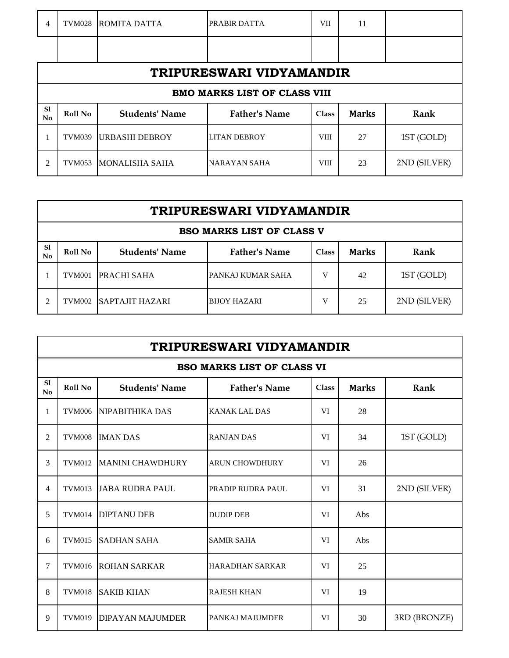| $\overline{4}$           | <b>TVM028</b> | <b>ROMITA DATTA</b>   | <b>PRABIR DATTA</b>                 | VII          | 11           |              |  |
|--------------------------|---------------|-----------------------|-------------------------------------|--------------|--------------|--------------|--|
|                          |               |                       |                                     |              |              |              |  |
| TRIPURESWARI VIDYAMANDIR |               |                       |                                     |              |              |              |  |
|                          |               |                       | <b>BMO MARKS LIST OF CLASS VIII</b> |              |              |              |  |
| S1<br>No                 | Roll No       | <b>Students' Name</b> | <b>Father's Name</b>                | <b>Class</b> | <b>Marks</b> | Rank         |  |
|                          | <b>TVM039</b> | <b>URBASHI DEBROY</b> | <b>LITAN DEBROY</b>                 | <b>VIII</b>  | 27           | 1ST (GOLD)   |  |
| 2                        | <b>TVM053</b> | <b>MONALISHA SAHA</b> | <b>NARAYAN SAHA</b>                 | <b>VIII</b>  | 23           | 2ND (SILVER) |  |

|                                  | TRIPURESWARI VIDYAMANDIR |                        |                      |              |              |              |  |  |
|----------------------------------|--------------------------|------------------------|----------------------|--------------|--------------|--------------|--|--|
| <b>BSO MARKS LIST OF CLASS V</b> |                          |                        |                      |              |              |              |  |  |
| S <sub>1</sub><br>No             | Roll No                  | <b>Students' Name</b>  | <b>Father's Name</b> | <b>Class</b> | <b>Marks</b> | Rank         |  |  |
|                                  | TVM001                   | <b>PRACHI SAHA</b>     | PANKAJ KUMAR SAHA    | v            | 42           | 1ST (GOLD)   |  |  |
| $\mathfrak{D}$                   | <b>TVM002</b>            | <b>SAPTAJIT HAZARI</b> | <b>BUOY HAZARI</b>   | V            | 25           | 2ND (SILVER) |  |  |

|          | TRIPURESWARI VIDYAMANDIR          |                         |                        |              |              |              |  |  |
|----------|-----------------------------------|-------------------------|------------------------|--------------|--------------|--------------|--|--|
|          | <b>BSO MARKS LIST OF CLASS VI</b> |                         |                        |              |              |              |  |  |
| S1<br>No | Roll No                           | <b>Students' Name</b>   | <b>Father's Name</b>   | <b>Class</b> | <b>Marks</b> | Rank         |  |  |
| 1        | <b>TVM006</b>                     | NIPABITHIKA DAS         | <b>KANAK LAL DAS</b>   | VI           | 28           |              |  |  |
| 2        | <b>TVM008</b>                     | <b>IMAN DAS</b>         | <b>RANJAN DAS</b>      | VI           | 34           | 1ST (GOLD)   |  |  |
| 3        | <b>TVM012</b>                     | <b>MANINI CHAWDHURY</b> | <b>ARUN CHOWDHURY</b>  | VI           | 26           |              |  |  |
| 4        | <b>TVM013</b>                     | <b>JABA RUDRA PAUL</b>  | PRADIP RUDRA PAUL      | VI           | 31           | 2ND (SILVER) |  |  |
| 5        | <b>TVM014</b>                     | <b>DIPTANU DEB</b>      | <b>DUDIP DEB</b>       | VI           | Abs          |              |  |  |
| 6        | <b>TVM015</b>                     | ISADHAN SAHA            | <b>SAMIR SAHA</b>      | VI           | Abs          |              |  |  |
| 7        | <b>TVM016</b>                     | <b>ROHAN SARKAR</b>     | <b>HARADHAN SARKAR</b> | VI           | 25           |              |  |  |
| 8        | <b>TVM018</b>                     | <b>SAKIB KHAN</b>       | <b>RAJESH KHAN</b>     | VI           | 19           |              |  |  |
| 9        | <b>TVM019</b>                     | <b>DIPAYAN MAJUMDER</b> | PANKAJ MAJUMDER        | VI           | 30           | 3RD (BRONZE) |  |  |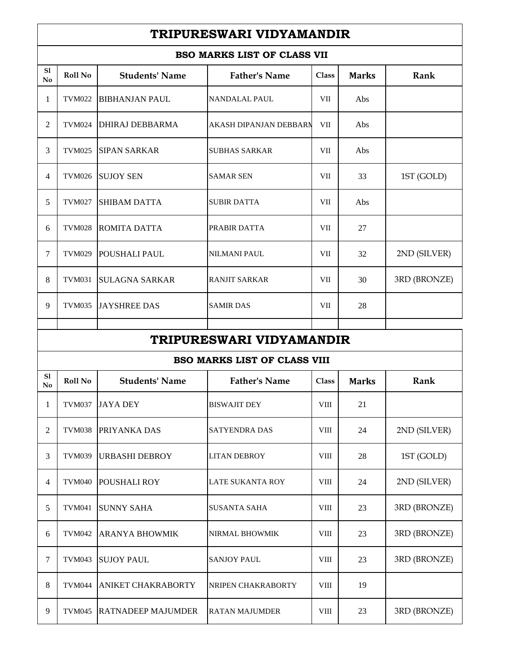## **TRIPURESWARI VIDYAMANDIR**

| <b>BSO MARKS LIST OF CLASS VII</b> |               |                       |                                     |              |              |              |  |  |
|------------------------------------|---------------|-----------------------|-------------------------------------|--------------|--------------|--------------|--|--|
| S1<br>No                           | Roll No       | <b>Students' Name</b> | <b>Father's Name</b>                | Class        | <b>Marks</b> | Rank         |  |  |
| 1                                  | <b>TVM022</b> | <b>BIBHANJAN PAUL</b> | <b>NANDALAL PAUL</b>                | VІІ          | Abs          |              |  |  |
| $\overline{2}$                     | <b>TVM024</b> | DHIRAJ DEBBARMA       | AKASH DIPANJAN DEBBARN              | VІІ          | Abs          |              |  |  |
| 3                                  | <b>TVM025</b> | <b>SIPAN SARKAR</b>   | <b>SUBHAS SARKAR</b>                | VІІ          | Abs          |              |  |  |
| $\overline{4}$                     | <b>TVM026</b> | <b>SUJOY SEN</b>      | <b>SAMAR SEN</b>                    | VII          | 33           | 1ST (GOLD)   |  |  |
| 5                                  | <b>TVM027</b> | <b>SHIBAM DATTA</b>   | <b>SUBIR DATTA</b>                  | VII          | Abs          |              |  |  |
| 6                                  | <b>TVM028</b> | <b>ROMITA DATTA</b>   | PRABIR DATTA                        | VІІ          | 27           |              |  |  |
| $\tau$                             | <b>TVM029</b> | <b>POUSHALI PAUL</b>  | NILMANI PAUL                        | VІІ          | 32           | 2ND (SILVER) |  |  |
| 8                                  | <b>TVM031</b> | <b>SULAGNA SARKAR</b> | <b>RANJIT SARKAR</b>                | VІІ          | 30           | 3RD (BRONZE) |  |  |
| 9                                  | <b>TVM035</b> | <b>JAYSHREE DAS</b>   | <b>SAMIR DAS</b>                    | VІІ          | 28           |              |  |  |
|                                    |               |                       |                                     |              |              |              |  |  |
| TRIPURESWARI VIDYAMANDIR           |               |                       |                                     |              |              |              |  |  |
|                                    |               |                       |                                     |              |              |              |  |  |
|                                    |               |                       | <b>BSO MARKS LIST OF CLASS VIII</b> |              |              |              |  |  |
| S1<br>No                           | Roll No       | <b>Students' Name</b> | <b>Father's Name</b>                | Class        | <b>Marks</b> | Rank         |  |  |
| 1                                  | <b>TVM037</b> | <b>JAYA DEY</b>       | <b>BISWAJIT DEY</b>                 | VIII         | 21           |              |  |  |
| $\mathfrak{2}$                     | <b>TVM038</b> | PRIYANKA DAS          | <b>SATYENDRA DAS</b>                | ${\rm VIII}$ | 24           | 2ND (SILVER) |  |  |
| $\mathfrak{Z}$                     | <b>TVM039</b> | <b>URBASHI DEBROY</b> | <b>LITAN DEBROY</b>                 | ${\rm VIII}$ | 28           | 1ST (GOLD)   |  |  |
| $\overline{4}$                     | <b>TVM040</b> | POUSHALI ROY          | LATE SUKANTA ROY                    | ${\rm VIII}$ | 24           | 2ND (SILVER) |  |  |
| 5                                  | <b>TVM041</b> | <b>SUNNY SAHA</b>     | <b>SUSANTA SAHA</b>                 | VIII         | 23           | 3RD (BRONZE) |  |  |
| 6                                  | <b>TVM042</b> | <b>ARANYA BHOWMIK</b> | NIRMAL BHOWMIK                      | VIII         | 23           | 3RD (BRONZE) |  |  |
| 7                                  | <b>TVM043</b> | <b>SUJOY PAUL</b>     | <b>SANJOY PAUL</b>                  | ${\rm VIII}$ | 23           | 3RD (BRONZE) |  |  |
| 8                                  | <b>TVM044</b> | ANIKET CHAKRABORTY    | NRIPEN CHAKRABORTY                  | VIII         | 19           |              |  |  |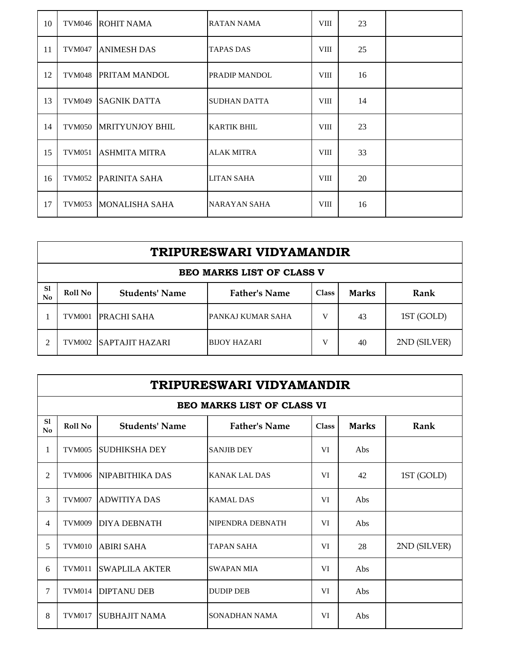| 10 | <b>TVM046</b> | <b>ROHIT NAMA</b>      | RATAN NAMA           | <b>VIII</b> | 23 |  |
|----|---------------|------------------------|----------------------|-------------|----|--|
| 11 | <b>TVM047</b> | <b>ANIMESH DAS</b>     | <b>TAPAS DAS</b>     | <b>VIII</b> | 25 |  |
| 12 | <b>TVM048</b> | <b>PRITAM MANDOL</b>   | <b>PRADIP MANDOL</b> | VIII        | 16 |  |
| 13 | <b>TVM049</b> | <b>SAGNIK DATTA</b>    | <b>SUDHAN DATTA</b>  | <b>VIII</b> | 14 |  |
| 14 | <b>TVM050</b> | <b>MRITYUNJOY BHIL</b> | <b>KARTIK BHIL</b>   | <b>VIII</b> | 23 |  |
| 15 | <b>TVM051</b> | ASHMITA MITRA          | <b>ALAK MITRA</b>    | <b>VIII</b> | 33 |  |
| 16 | <b>TVM052</b> | PARINITA SAHA          | <b>LITAN SAHA</b>    | <b>VIII</b> | 20 |  |
| 17 | <b>TVM053</b> | <b>MONALISHA SAHA</b>  | NARAYAN SAHA         | <b>VIII</b> | 16 |  |

|                | TRIPURESWARI VIDYAMANDIR         |                        |                      |              |              |              |  |  |
|----------------|----------------------------------|------------------------|----------------------|--------------|--------------|--------------|--|--|
|                | <b>BEO MARKS LIST OF CLASS V</b> |                        |                      |              |              |              |  |  |
| S1<br>No       | <b>Roll No</b>                   | <b>Students' Name</b>  | <b>Father's Name</b> | <b>Class</b> | <b>Marks</b> | Rank         |  |  |
|                | TVM001                           | <b>PRACHI SAHA</b>     | PANKAJ KUMAR SAHA    | v            | 43           | 1ST (GOLD)   |  |  |
| $\mathfrak{D}$ | <b>TVM002</b>                    | <b>SAPTAJIT HAZARI</b> | <b>BUOY HAZARI</b>   | V            | 40           | 2ND (SILVER) |  |  |

|                | TRIPURESWARI VIDYAMANDIR |                       |                                   |              |              |              |  |  |
|----------------|--------------------------|-----------------------|-----------------------------------|--------------|--------------|--------------|--|--|
|                |                          |                       | <b>BEO MARKS LIST OF CLASS VI</b> |              |              |              |  |  |
| S1<br>No       | Roll No                  | <b>Students' Name</b> | <b>Father's Name</b>              | <b>Class</b> | <b>Marks</b> | Rank         |  |  |
| 1              | <b>TVM005</b>            | <b>SUDHIKSHA DEY</b>  | <b>SANJIB DEY</b>                 | VI           | Abs          |              |  |  |
| $\overline{2}$ | <b>TVM006</b>            | NIPABITHIKA DAS       | <b>KANAK LAL DAS</b>              | VI           | 42           | 1ST (GOLD)   |  |  |
| 3              | <b>TVM007</b>            | <b>ADWITIYA DAS</b>   | <b>KAMAL DAS</b>                  | VI           | Abs          |              |  |  |
| $\overline{4}$ | <b>TVM009</b>            | <b>DIYA DEBNATH</b>   | NIPENDRA DEBNATH                  | VI           | Abs          |              |  |  |
| 5              | <b>TVM010</b>            | <b>ABIRI SAHA</b>     | <b>TAPAN SAHA</b>                 | VI           | 28           | 2ND (SILVER) |  |  |
| 6              | <b>TVM011</b>            | <b>SWAPLILA AKTER</b> | <b>SWAPAN MIA</b>                 | VI           | Abs          |              |  |  |
| 7              | <b>TVM014</b>            | <b>DIPTANU DEB</b>    | <b>DUDIP DEB</b>                  | VI           | Abs          |              |  |  |
| 8              | <b>TVM017</b>            | <b>SUBHAJIT NAMA</b>  | SONADHAN NAMA                     | VI           | Abs          |              |  |  |